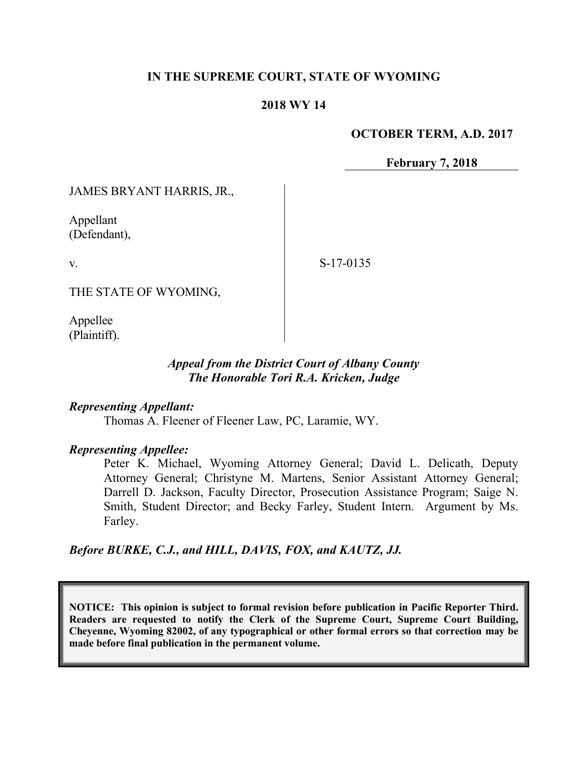### **IN THE SUPREME COURT, STATE OF WYOMING**

### **2018 WY 14**

### **OCTOBER TERM, A.D. 2017**

**February 7, 2018**

JAMES BRYANT HARRIS, JR.,

Appellant (Defendant),

v.

S-17-0135

THE STATE OF WYOMING,

Appellee (Plaintiff).

## *Appeal from the District Court of Albany County The Honorable Tori R.A. Kricken, Judge*

#### *Representing Appellant:*

Thomas A. Fleener of Fleener Law, PC, Laramie, WY.

#### *Representing Appellee:*

Peter K. Michael, Wyoming Attorney General; David L. Delicath, Deputy Attorney General; Christyne M. Martens, Senior Assistant Attorney General; Darrell D. Jackson, Faculty Director, Prosecution Assistance Program; Saige N. Smith, Student Director; and Becky Farley, Student Intern. Argument by Ms. Farley.

*Before BURKE, C.J., and HILL, DAVIS, FOX, and KAUTZ, JJ.*

**NOTICE: This opinion is subject to formal revision before publication in Pacific Reporter Third. Readers are requested to notify the Clerk of the Supreme Court, Supreme Court Building, Cheyenne, Wyoming 82002, of any typographical or other formal errors so that correction may be made before final publication in the permanent volume.**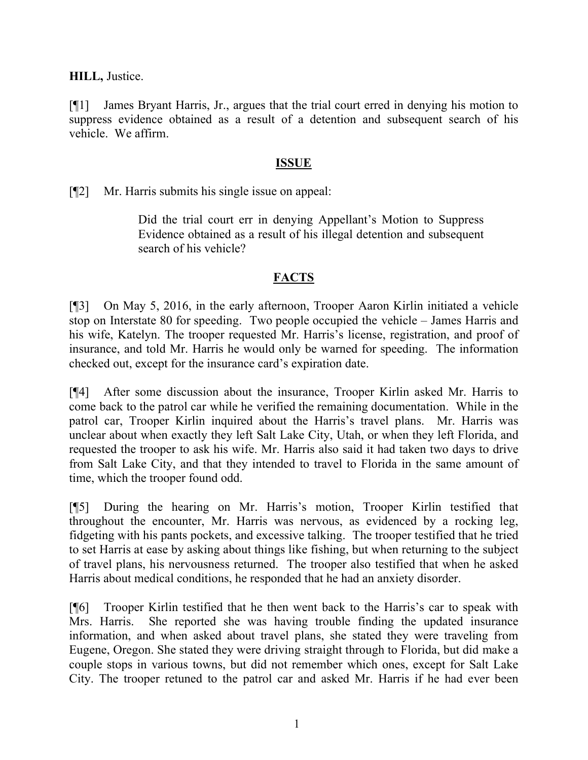**HILL,** Justice.

[¶1] James Bryant Harris, Jr., argues that the trial court erred in denying his motion to suppress evidence obtained as a result of a detention and subsequent search of his vehicle. We affirm.

## **ISSUE**

[¶2] Mr. Harris submits his single issue on appeal:

Did the trial court err in denying Appellant's Motion to Suppress Evidence obtained as a result of his illegal detention and subsequent search of his vehicle?

# **FACTS**

[¶3] On May 5, 2016, in the early afternoon, Trooper Aaron Kirlin initiated a vehicle stop on Interstate 80 for speeding. Two people occupied the vehicle – James Harris and his wife, Katelyn. The trooper requested Mr. Harris's license, registration, and proof of insurance, and told Mr. Harris he would only be warned for speeding. The information checked out, except for the insurance card's expiration date.

[¶4] After some discussion about the insurance, Trooper Kirlin asked Mr. Harris to come back to the patrol car while he verified the remaining documentation. While in the patrol car, Trooper Kirlin inquired about the Harris's travel plans. Mr. Harris was unclear about when exactly they left Salt Lake City, Utah, or when they left Florida, and requested the trooper to ask his wife. Mr. Harris also said it had taken two days to drive from Salt Lake City, and that they intended to travel to Florida in the same amount of time, which the trooper found odd.

[¶5] During the hearing on Mr. Harris's motion, Trooper Kirlin testified that throughout the encounter, Mr. Harris was nervous, as evidenced by a rocking leg, fidgeting with his pants pockets, and excessive talking. The trooper testified that he tried to set Harris at ease by asking about things like fishing, but when returning to the subject of travel plans, his nervousness returned. The trooper also testified that when he asked Harris about medical conditions, he responded that he had an anxiety disorder.

[¶6] Trooper Kirlin testified that he then went back to the Harris's car to speak with Mrs. Harris. She reported she was having trouble finding the updated insurance information, and when asked about travel plans, she stated they were traveling from Eugene, Oregon. She stated they were driving straight through to Florida, but did make a couple stops in various towns, but did not remember which ones, except for Salt Lake City. The trooper retuned to the patrol car and asked Mr. Harris if he had ever been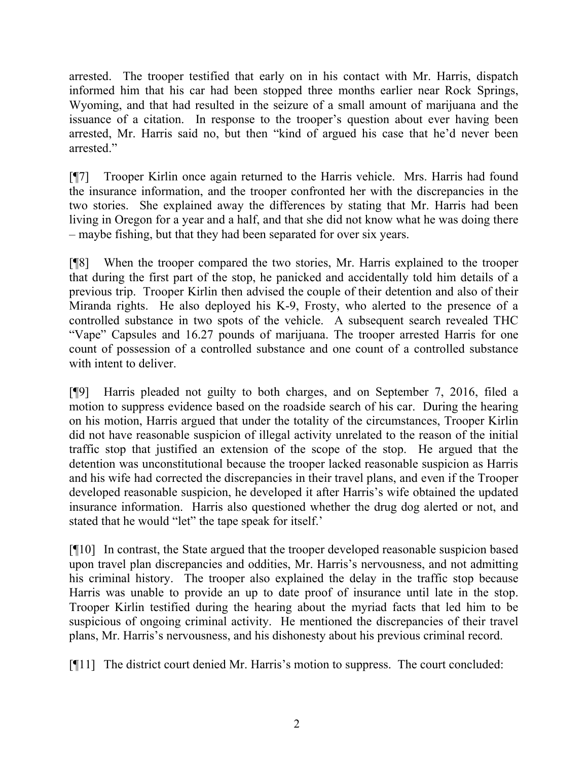arrested. The trooper testified that early on in his contact with Mr. Harris, dispatch informed him that his car had been stopped three months earlier near Rock Springs, Wyoming, and that had resulted in the seizure of a small amount of marijuana and the issuance of a citation. In response to the trooper's question about ever having been arrested, Mr. Harris said no, but then "kind of argued his case that he'd never been arrested."

[¶7] Trooper Kirlin once again returned to the Harris vehicle. Mrs. Harris had found the insurance information, and the trooper confronted her with the discrepancies in the two stories. She explained away the differences by stating that Mr. Harris had been living in Oregon for a year and a half, and that she did not know what he was doing there – maybe fishing, but that they had been separated for over six years.

[¶8] When the trooper compared the two stories, Mr. Harris explained to the trooper that during the first part of the stop, he panicked and accidentally told him details of a previous trip. Trooper Kirlin then advised the couple of their detention and also of their Miranda rights. He also deployed his K-9, Frosty, who alerted to the presence of a controlled substance in two spots of the vehicle. A subsequent search revealed THC "Vape" Capsules and 16.27 pounds of marijuana. The trooper arrested Harris for one count of possession of a controlled substance and one count of a controlled substance with intent to deliver.

[¶9] Harris pleaded not guilty to both charges, and on September 7, 2016, filed a motion to suppress evidence based on the roadside search of his car. During the hearing on his motion, Harris argued that under the totality of the circumstances, Trooper Kirlin did not have reasonable suspicion of illegal activity unrelated to the reason of the initial traffic stop that justified an extension of the scope of the stop. He argued that the detention was unconstitutional because the trooper lacked reasonable suspicion as Harris and his wife had corrected the discrepancies in their travel plans, and even if the Trooper developed reasonable suspicion, he developed it after Harris's wife obtained the updated insurance information. Harris also questioned whether the drug dog alerted or not, and stated that he would "let" the tape speak for itself.'

[¶10] In contrast, the State argued that the trooper developed reasonable suspicion based upon travel plan discrepancies and oddities, Mr. Harris's nervousness, and not admitting his criminal history. The trooper also explained the delay in the traffic stop because Harris was unable to provide an up to date proof of insurance until late in the stop. Trooper Kirlin testified during the hearing about the myriad facts that led him to be suspicious of ongoing criminal activity. He mentioned the discrepancies of their travel plans, Mr. Harris's nervousness, and his dishonesty about his previous criminal record.

[¶11] The district court denied Mr. Harris's motion to suppress. The court concluded: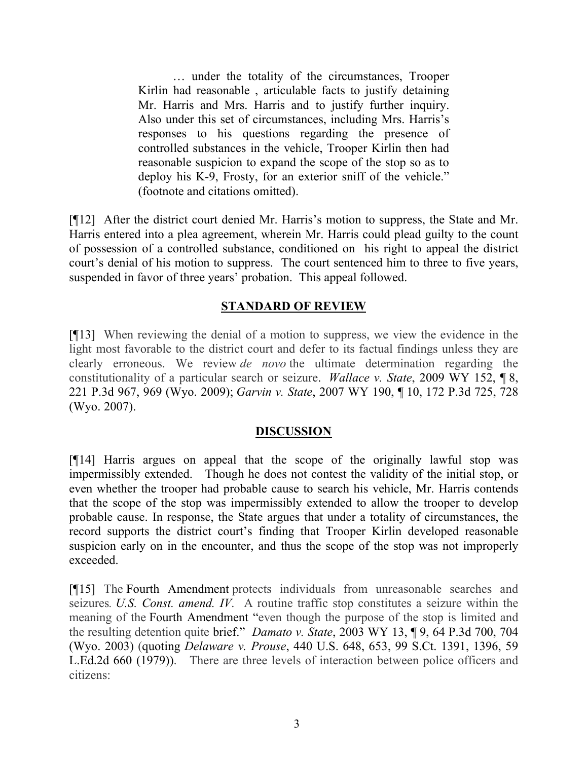… under the totality of the circumstances, Trooper Kirlin had reasonable , articulable facts to justify detaining Mr. Harris and Mrs. Harris and to justify further inquiry. Also under this set of circumstances, including Mrs. Harris's responses to his questions regarding the presence of controlled substances in the vehicle, Trooper Kirlin then had reasonable suspicion to expand the scope of the stop so as to deploy his K-9, Frosty, for an exterior sniff of the vehicle." (footnote and citations omitted).

[¶12] After the district court denied Mr. Harris's motion to suppress, the State and Mr. Harris entered into a plea agreement, wherein Mr. Harris could plead guilty to the count of possession of a controlled substance, conditioned on his right to appeal the district court's denial of his motion to suppress. The court sentenced him to three to five years, suspended in favor of three years' probation. This appeal followed.

# **STANDARD OF REVIEW**

[¶13] When reviewing the denial of a motion to suppress, we view the evidence in the light most favorable to the district court and defer to its factual findings unless they are clearly erroneous. We review *de novo* the ultimate determination regarding the constitutionality of a particular search or seizure. *Wallace v. State*, 2009 WY 152, ¶ 8, 221 P.3d 967, 969 (Wyo. 2009); *Garvin v. State*, 2007 WY 190, ¶ 10, 172 P.3d 725, 728 (Wyo. 2007).

## **DISCUSSION**

[¶14] Harris argues on appeal that the scope of the originally lawful stop was impermissibly extended. Though he does not contest the validity of the initial stop, or even whether the trooper had probable cause to search his vehicle, Mr. Harris contends that the scope of the stop was impermissibly extended to allow the trooper to develop probable cause. In response, the State argues that under a totality of circumstances, the record supports the district court's finding that Trooper Kirlin developed reasonable suspicion early on in the encounter, and thus the scope of the stop was not improperly exceeded.

[¶15] The Fourth Amendment protects individuals from unreasonable searches and seizures*. U.S. Const. amend. IV*. A routine traffic stop constitutes a seizure within the meaning of the Fourth Amendment "even though the purpose of the stop is limited and the resulting detention quite brief." *Damato v. State*, 2003 WY 13, ¶ 9, 64 P.3d 700, 704 (Wyo. 2003) (quoting *Delaware v. Prouse*, 440 U.S. 648, 653, 99 S.Ct. 1391, 1396, 59 L.Ed.2d 660 (1979)). There are three levels of interaction between police officers and citizens: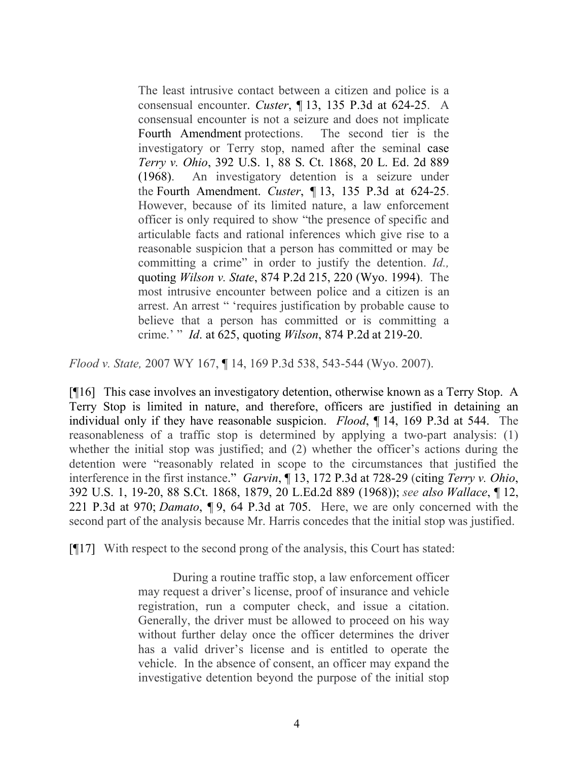The least intrusive contact between a citizen and police is a consensual encounter. *Custer*, ¶ 13, 135 P.3d at 624-25. A consensual encounter is not a seizure and does not implicate Fourth Amendment protections. The second tier is the investigatory or Terry stop, named after the seminal case *Terry v. Ohio*, 392 U.S. 1, 88 S. Ct. 1868, 20 L. Ed. 2d 889 (1968). An investigatory detention is a seizure under the Fourth Amendment. *Custer*, ¶ 13, 135 P.3d at 624-25. However, because of its limited nature, a law enforcement officer is only required to show "the presence of specific and articulable facts and rational inferences which give rise to a reasonable suspicion that a person has committed or may be committing a crime" in order to justify the detention. *Id.,* quoting *Wilson v. State*, 874 P.2d 215, 220 (Wyo. 1994). The most intrusive encounter between police and a citizen is an arrest. An arrest " 'requires justification by probable cause to believe that a person has committed or is committing a crime.' " *Id*. at 625, quoting *Wilson*, 874 P.2d at 219-20.

*Flood v. State,* 2007 WY 167, ¶ 14, 169 P.3d 538, 543-544 (Wyo. 2007).

[¶16] This case involves an investigatory detention, otherwise known as a Terry Stop. A Terry Stop is limited in nature, and therefore, officers are justified in detaining an individual only if they have reasonable suspicion. *Flood*, ¶ 14, 169 P.3d at 544. The reasonableness of a traffic stop is determined by applying a two-part analysis: (1) whether the initial stop was justified; and (2) whether the officer's actions during the detention were "reasonably related in scope to the circumstances that justified the interference in the first instance." *Garvin*, ¶ 13, 172 P.3d at 728-29 (citing *Terry v. Ohio*, 392 U.S. 1, 19-20, 88 S.Ct. 1868, 1879, 20 L.Ed.2d 889 (1968)); *see also Wallace*, ¶ 12, 221 P.3d at 970; *Damato*, ¶ 9, 64 P.3d at 705. Here, we are only concerned with the second part of the analysis because Mr. Harris concedes that the initial stop was justified.

[¶17] With respect to the second prong of the analysis, this Court has stated:

During a routine traffic stop, a law enforcement officer may request a driver's license, proof of insurance and vehicle registration, run a computer check, and issue a citation. Generally, the driver must be allowed to proceed on his way without further delay once the officer determines the driver has a valid driver's license and is entitled to operate the vehicle. In the absence of consent, an officer may expand the investigative detention beyond the purpose of the initial stop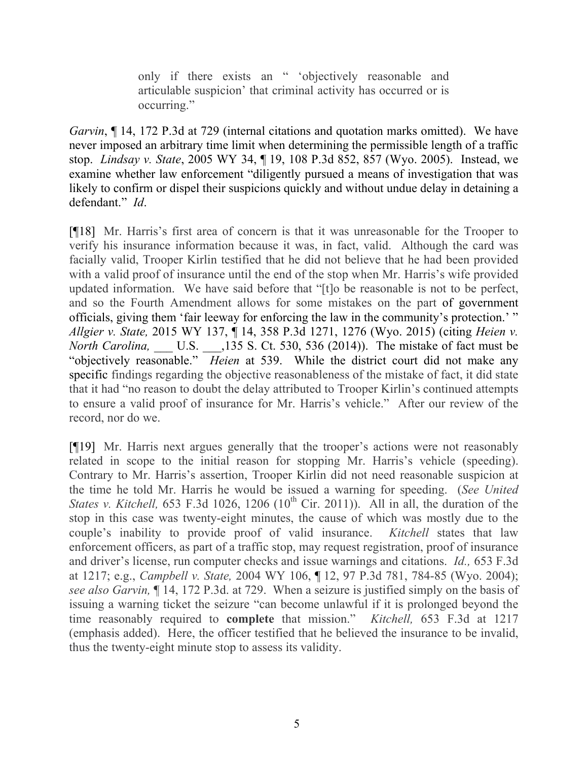only if there exists an " 'objectively reasonable and articulable suspicion' that criminal activity has occurred or is occurring."

*Garvin*, **[14, 172 P.3d at 729 (internal citations and quotation marks omitted). We have** never imposed an arbitrary time limit when determining the permissible length of a traffic stop. *Lindsay v. State*, 2005 WY 34, ¶ 19, 108 P.3d 852, 857 (Wyo. 2005). Instead, we examine whether law enforcement "diligently pursued a means of investigation that was likely to confirm or dispel their suspicions quickly and without undue delay in detaining a defendant." *Id*.

[¶18] Mr. Harris's first area of concern is that it was unreasonable for the Trooper to verify his insurance information because it was, in fact, valid. Although the card was facially valid, Trooper Kirlin testified that he did not believe that he had been provided with a valid proof of insurance until the end of the stop when Mr. Harris's wife provided updated information. We have said before that "[t]o be reasonable is not to be perfect, and so the Fourth Amendment allows for some mistakes on the part of government officials, giving them 'fair leeway for enforcing the law in the community's protection.' " *Allgier v. State,* 2015 WY 137, ¶ 14, 358 P.3d 1271, 1276 (Wyo. 2015) (citing *Heien v. North Carolina,* \_\_\_ U.S. \_\_\_,135 S. Ct. 530, 536 (2014)). The mistake of fact must be "objectively reasonable." *Heien* at 539. While the district court did not make any specific findings regarding the objective reasonableness of the mistake of fact, it did state that it had "no reason to doubt the delay attributed to Trooper Kirlin's continued attempts to ensure a valid proof of insurance for Mr. Harris's vehicle." After our review of the record, nor do we.

[¶19] Mr. Harris next argues generally that the trooper's actions were not reasonably related in scope to the initial reason for stopping Mr. Harris's vehicle (speeding). Contrary to Mr. Harris's assertion, Trooper Kirlin did not need reasonable suspicion at the time he told Mr. Harris he would be issued a warning for speeding. (*See United States v. Kitchell,* 653 F.3d 1026, 1206 (10<sup>th</sup> Cir. 2011)). All in all, the duration of the stop in this case was twenty-eight minutes, the cause of which was mostly due to the couple's inability to provide proof of valid insurance. *Kitchell* states that law enforcement officers, as part of a traffic stop, may request registration, proof of insurance and driver's license, run computer checks and issue warnings and citations. *Id.,* 653 F.3d at 1217; e.g., *Campbell v. State,* 2004 WY 106, ¶ 12, 97 P.3d 781, 784-85 (Wyo. 2004); *see also Garvin,* ¶ 14, 172 P.3d. at 729. When a seizure is justified simply on the basis of issuing a warning ticket the seizure "can become unlawful if it is prolonged beyond the time reasonably required to **complete** that mission." *Kitchell,* 653 F.3d at 1217 (emphasis added). Here, the officer testified that he believed the insurance to be invalid, thus the twenty-eight minute stop to assess its validity.